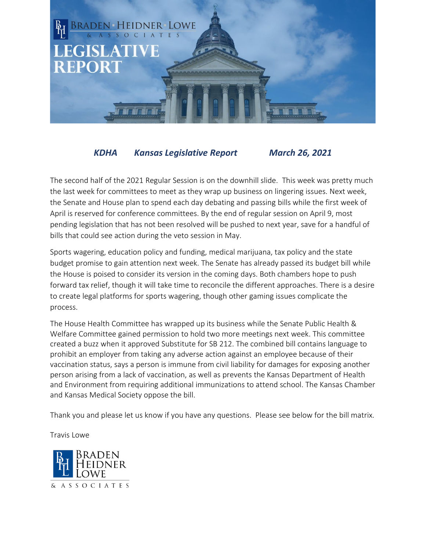

## *KDHA Kansas Legislative Report March 26, 2021*

The second half of the 2021 Regular Session is on the downhill slide. This week was pretty much the last week for committees to meet as they wrap up business on lingering issues. Next week, the Senate and House plan to spend each day debating and passing bills while the first week of April is reserved for conference committees. By the end of regular session on April 9, most pending legislation that has not been resolved will be pushed to next year, save for a handful of bills that could see action during the veto session in May.

Sports wagering, education policy and funding, medical marijuana, tax policy and the state budget promise to gain attention next week. The Senate has already passed its budget bill while the House is poised to consider its version in the coming days. Both chambers hope to push forward tax relief, though it will take time to reconcile the different approaches. There is a desire to create legal platforms for sports wagering, though other gaming issues complicate the process.

The House Health Committee has wrapped up its business while the Senate Public Health & Welfare Committee gained permission to hold two more meetings next week. This committee created a buzz when it approved Substitute for SB 212. The combined bill contains language to prohibit an employer from taking any adverse action against an employee because of their vaccination status, says a person is immune from civil liability for damages for exposing another person arising from a lack of vaccination, as well as prevents the Kansas Department of Health and Environment from requiring additional immunizations to attend school. The Kansas Chamber and Kansas Medical Society oppose the bill.

Thank you and please let us know if you have any questions. Please see below for the bill matrix.

Travis Lowe

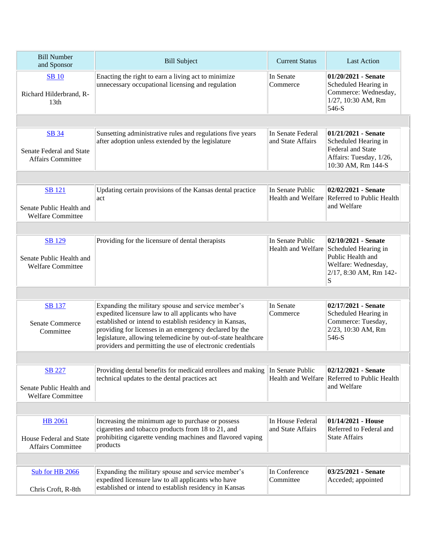| <b>Bill Number</b><br>and Sponsor                                     | <b>Bill Subject</b>                                                                                                                                                                                                                                                                                                                                          | <b>Current Status</b>                  | <b>Last Action</b>                                                                                                                        |  |  |
|-----------------------------------------------------------------------|--------------------------------------------------------------------------------------------------------------------------------------------------------------------------------------------------------------------------------------------------------------------------------------------------------------------------------------------------------------|----------------------------------------|-------------------------------------------------------------------------------------------------------------------------------------------|--|--|
| <b>SB</b> 10<br>Richard Hilderbrand, R-<br>13 <sub>th</sub>           | Enacting the right to earn a living act to minimize<br>unnecessary occupational licensing and regulation                                                                                                                                                                                                                                                     | In Senate<br>Commerce                  | $01/20/2021$ - Senate<br>Scheduled Hearing in<br>Commerce: Wednesday,<br>1/27, 10:30 AM, Rm<br>546-S                                      |  |  |
|                                                                       |                                                                                                                                                                                                                                                                                                                                                              |                                        |                                                                                                                                           |  |  |
| <b>SB 34</b><br>Senate Federal and State<br><b>Affairs Committee</b>  | Sunsetting administrative rules and regulations five years<br>after adoption unless extended by the legislature                                                                                                                                                                                                                                              | In Senate Federal<br>and State Affairs | $01/21/2021$ - Senate<br>Scheduled Hearing in<br>Federal and State<br>Affairs: Tuesday, 1/26,<br>10:30 AM, Rm 144-S                       |  |  |
|                                                                       |                                                                                                                                                                                                                                                                                                                                                              |                                        |                                                                                                                                           |  |  |
| <b>SB</b> 121<br>Senate Public Health and<br><b>Welfare Committee</b> | Updating certain provisions of the Kansas dental practice<br>act                                                                                                                                                                                                                                                                                             | In Senate Public                       | 02/02/2021 - Senate<br>Health and Welfare Referred to Public Health<br>and Welfare                                                        |  |  |
|                                                                       |                                                                                                                                                                                                                                                                                                                                                              |                                        |                                                                                                                                           |  |  |
| <b>SB</b> 129<br>Senate Public Health and<br><b>Welfare Committee</b> | Providing for the licensure of dental therapists                                                                                                                                                                                                                                                                                                             | In Senate Public                       | 02/10/2021 - Senate<br>Health and Welfare Scheduled Hearing in<br>Public Health and<br>Welfare: Wednesday,<br>2/17, 8:30 AM, Rm 142-<br>S |  |  |
|                                                                       |                                                                                                                                                                                                                                                                                                                                                              |                                        |                                                                                                                                           |  |  |
| <b>SB</b> 137<br><b>Senate Commerce</b><br>Committee                  | Expanding the military spouse and service member's<br>expedited licensure law to all applicants who have<br>established or intend to establish residency in Kansas,<br>providing for licenses in an emergency declared by the<br>legislature, allowing telemedicine by out-of-state healthcare<br>providers and permitting the use of electronic credentials | In Senate<br>Commerce                  | 02/17/2021 - Senate<br>Scheduled Hearing in<br>Commerce: Tuesday,<br>2/23, 10:30 AM, Rm<br>546-S                                          |  |  |
|                                                                       |                                                                                                                                                                                                                                                                                                                                                              |                                        |                                                                                                                                           |  |  |
| <b>SB</b> 227<br>Senate Public Health and<br><b>Welfare Committee</b> | Providing dental benefits for medicaid enrollees and making<br>technical updates to the dental practices act                                                                                                                                                                                                                                                 | In Senate Public                       | 02/12/2021 - Senate<br>Health and Welfare Referred to Public Health<br>and Welfare                                                        |  |  |
|                                                                       |                                                                                                                                                                                                                                                                                                                                                              |                                        |                                                                                                                                           |  |  |
| <b>HB</b> 2061<br>House Federal and State<br><b>Affairs Committee</b> | Increasing the minimum age to purchase or possess<br>cigarettes and tobacco products from 18 to 21, and<br>prohibiting cigarette vending machines and flavored vaping<br>products                                                                                                                                                                            | In House Federal<br>and State Affairs  | $01/14/2021$ - House<br>Referred to Federal and<br><b>State Affairs</b>                                                                   |  |  |
|                                                                       |                                                                                                                                                                                                                                                                                                                                                              |                                        |                                                                                                                                           |  |  |
| Sub for HB 2066<br>Chris Croft, R-8th                                 | Expanding the military spouse and service member's<br>expedited licensure law to all applicants who have<br>established or intend to establish residency in Kansas                                                                                                                                                                                           | In Conference<br>Committee             | 03/25/2021 - Senate<br>Acceded; appointed                                                                                                 |  |  |